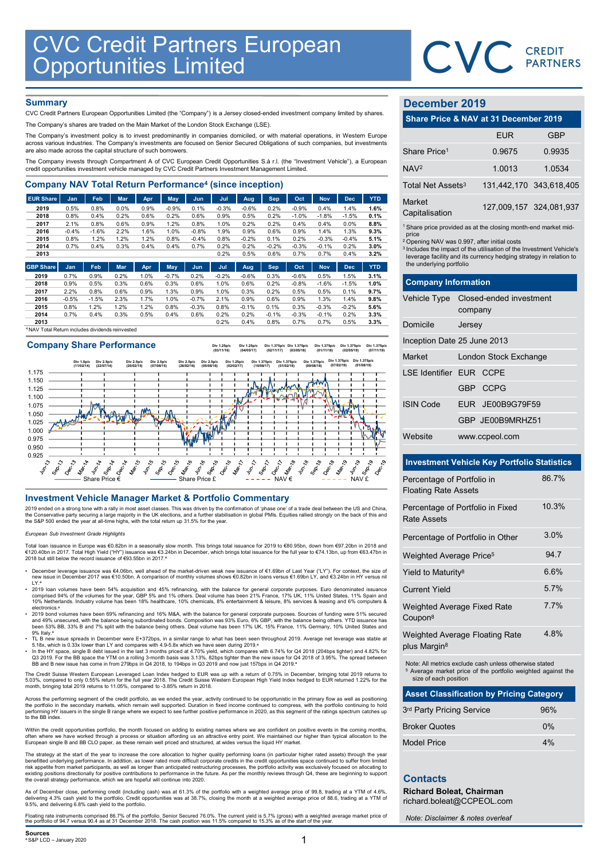

## **Summary**

| <b>CVC Credit Partners European<br/>Opportunities Limited</b>                                                                                                                                      |                 |                 |              |              |              |                    |              |                 |              |                 |                 |                 |              |                               | CVC CREDIT                                                                    |            |
|----------------------------------------------------------------------------------------------------------------------------------------------------------------------------------------------------|-----------------|-----------------|--------------|--------------|--------------|--------------------|--------------|-----------------|--------------|-----------------|-----------------|-----------------|--------------|-------------------------------|-------------------------------------------------------------------------------|------------|
|                                                                                                                                                                                                    |                 |                 |              |              |              |                    |              |                 |              |                 |                 |                 |              |                               |                                                                               |            |
|                                                                                                                                                                                                    |                 |                 |              |              |              |                    |              |                 |              |                 |                 |                 |              |                               |                                                                               |            |
| <b>Summary</b><br>CVC Credit Partners European Opportunities Limited (the "Company") is a Jersey closed-ended investment company limited by shares.                                                |                 |                 |              |              |              |                    |              |                 |              |                 |                 |                 |              | December 2019                 |                                                                               |            |
| The Company's shares are traded on the Main Market of the London Stock Exchange (LSE).                                                                                                             |                 |                 |              |              |              |                    |              |                 |              |                 |                 |                 |              |                               | Share Price & NAV at 31 December 2019                                         |            |
| The Company's investment policy is to invest predominantly in companies domiciled, or with material operations, in Western Europe                                                                  |                 |                 |              |              |              |                    |              |                 |              |                 |                 |                 |              |                               | <b>EUR</b>                                                                    | <b>GBP</b> |
| across various industries. The Company's investments are focused on Senior Secured Obligations of such companies, but investments<br>are also made across the capital structure of such borrowers. |                 |                 |              |              |              |                    |              |                 |              |                 |                 |                 |              | Share Price <sup>1</sup>      | 0.9675                                                                        | 0.9935     |
| The Company invests through Compartment A of CVC European Credit Opportunities S.à r.l. (the "Investment Vehicle"), a European                                                                     |                 |                 |              |              |              |                    |              |                 |              |                 |                 |                 |              |                               |                                                                               |            |
| credit opportunities investment vehicle managed by CVC Credit Partners Investment Management Limited.                                                                                              |                 |                 |              |              |              |                    |              |                 |              |                 |                 |                 |              | NAV <sup>2</sup>              | 1.0013                                                                        | 1.0534     |
| <b>Company NAV Total Return Performance<sup>4</sup> (since inception)</b>                                                                                                                          |                 |                 |              |              |              |                    |              |                 |              |                 |                 |                 |              | Total Net Assets <sup>3</sup> | 131,442,170 343,618,40                                                        |            |
| <b>EUR Share</b>                                                                                                                                                                                   | Jan             | Feb             | Mar          | Apr          | May          | Jun                | Jul          | Aug             | <b>Sep</b>   | Oct             | <b>Nov</b>      | <b>Dec</b>      | <b>YTD</b>   | Market                        |                                                                               |            |
| 2019                                                                                                                                                                                               | 0.5%            | 0.8%            | 0.0%         | 0.9%         | $-0.9%$      | 0.1%               | $-0.3%$      | $-0.6%$         | 0.2%         | $-0.9%$         | 0.4%            | 1.4%            | 1.6%         | Capitalisation                | 127,009,157 324,081,93                                                        |            |
| 2018<br>2017                                                                                                                                                                                       | 0.8%<br>2.1%    | 0.4%<br>0.8%    | 0.2%<br>0.6% | 0.6%<br>0.9% | 0.2%<br>1.2% | 0.6%<br>0.8%       | 0.9%<br>1.0% | 0.5%<br>0.2%    | 0.2%<br>0.2% | $-1.0%$<br>0.4% | $-1.8%$<br>0.4% | $-1.5%$<br>0.0% | 0.1%<br>8.8% |                               |                                                                               |            |
| 2016                                                                                                                                                                                               | $-0.4%$         | $-1.6%$         | 2.2%         | 1.6%         | 1.0%         | $-0.8%$            | 1.9%         | 0.9%            | 0.6%         | 0.9%            | 1.4%            | 1.3%            | 9.3%         |                               | <sup>1</sup> Share price provided as at the closing month-end market mid      |            |
| 2015                                                                                                                                                                                               | 0.8%            | 1.2%            | 1.2%         | 1.2%         | 0.8%         | $-0.4%$            | 0.8%         | $-0.2%$         | 0.1%         | 0.2%            | $-0.3%$         | $-0.4%$         | 5.1%         | price                         | <sup>2</sup> Opening NAV was 0.997, after initial costs                       |            |
| 2014                                                                                                                                                                                               | 0.7%            | 0.4%            | 0.3%         | 0.4%         | 0.4%         | 0.7%               | 0.2%         | 0.2%            | $-0.2%$      | $-0.3%$         | $-0.1%$         | 0.2%            | 3.0%         |                               | <sup>3</sup> Includes the impact of the utilisation of the Investment Vehicle |            |
| 2013                                                                                                                                                                                               |                 |                 |              |              |              |                    | 0.2%         | 0.5%            | 0.6%         | 0.7%            | 0.7%            | 0.4%            | 3.2%         |                               | leverage facility and its currency hedging strategy in relation t             |            |
| <b>GBP Share</b>                                                                                                                                                                                   | Jan             | Feb             | <b>Mar</b>   | Apr          | May          | Jun.               | Jul          | Aug             | <b>Sep</b>   | Oct             | <b>Nov</b>      | <b>Dec</b>      | <b>YTD</b>   | the underlying portfolio      |                                                                               |            |
| 2019                                                                                                                                                                                               | 0.7%            | 0.9%            | 0.2%         | 1.0%         | $-0.7%$      | 0.2%               | $-0.2%$      | $-0.6%$         | 0.3%         | $-0.6%$         | 0.5%            | 1.5%            | 3.1%         |                               |                                                                               |            |
| 2018                                                                                                                                                                                               | 0.9%            | 0.5%            | 0.3%         | 0.6%         | 0.3%         | 0.6%               | 1.0%         | 0.6%            | 0.2%         | $-0.8%$         | $-1.6%$         | $-1.5%$         | 1.0%         | <b>Company Information</b>    |                                                                               |            |
| 2017                                                                                                                                                                                               | 2.2%            | 0.8%            | 0.6%         | 0.9%         | 1.3%         | 0.9%               | 1.0%         | 0.3%            | 0.2%         | 0.5%            | 0.5%            | 0.1%            | 9.7%         |                               |                                                                               |            |
| 2016<br>2015                                                                                                                                                                                       | $-0.5%$<br>0.8% | $-1.5%$<br>1.2% | 2.3%<br>1.2% | 1.7%<br>1.2% | 1.0%<br>0.8% | $-0.7%$<br>$-0.3%$ | 2.1%<br>0.8% | 0.9%<br>$-0.1%$ | 0.6%<br>0.1% | 0.9%<br>0.3%    | 1.3%<br>$-0.3%$ | 1.4%<br>$-0.2%$ | 9.8%<br>5.6% | <b>Vehicle Type</b>           | Closed-ended investment                                                       |            |
| 2014                                                                                                                                                                                               | 0.7%            | 0.4%            | 0.3%         | 0.5%         | 0.4%         | 0.6%               | 0.2%         | 0.2%            | $-0.1%$      | $-0.3%$         | $-0.1%$         | 0.2%            | 3.3%         |                               | company                                                                       |            |
| 2013                                                                                                                                                                                               |                 |                 |              |              |              |                    | 0.2%         | 0.4%            | 0.8%         | 0.7%            | 0.7%            | 0.5%            | 3.3%         | Domicile                      | larcay                                                                        |            |

<sup>4</sup>NAV Total Return includes dividends reinvested

## Company Share Performance



2019 ended on a strong tone with a rally in most asset classes. This was driven by the confirmation of 'phase one' of a trade deal between the US and China,<br>the Conservative party securing a large majority in the UK electi

### European Sub Investment Grade Highlights

Total loan issuance in Europe was €0.82bn in a seasonally slow month. This brings total issuance for 2019 to €80.95bn, down from €97.20bn in 2018 and €120.40bn in 2017. Total High Yield ("HY") issuance was €3.24bn in December, which brings total issuance for the full year to €74.13bn, up from €63.47bn in<br>2018 but still below the record issuance of €93.55bn in 2017.ª

- December leverage issuance was €4.06bn, well ahead of the market-driven weak new issuance of €1.69bn of Last Year ("LY"). For context, the size of<br>New issue in December 2017 was €10.50bn. A comparison of monthly volumes LY.<sup>a</sup>
- 2019 Ioan volumes have been 54% acquisition and 45% refinancing, with the balance for general corporate purposes. Euro denominated issuance comprised 94% of the volumes for the year, GBP 5% and 1% others. Deal volume has
- 2019 bond volumes have been 69% refinancing and 16% M&A, with the balance for general corporate purposes. Sources of funding were 51% secured 20% \* 20% for the balance being subordinated bonds. 2007<br>The 49% unsecured, wi
- 
- 9% Italy.<sup>a</sup><br>5. TL B new issue spreads in December were E+372bps, in a similar range to what has been seen throughout 2019. Average net leverage was stable at<br>5.18x, which is 0.33x lower than LY and compares with 4.9-5.8x

The Credit Suisse Western European Leveraged Loan Index hedged to EUR was up with a return of 0.75% in December, bringing total 2019 returns to<br>5.03%, compared to only 0.55% return for the full year 2018. The Credit Suisse

Across the performing segment of the credit portfolio, as we ended the year, activity continued to be opportunistic in the primary flow as well as positioning<br>the portfolio in the secondary markets, which remain well suppo to the BB index.

Within the credit opportunities portfolio, the month focused on adding to existing names where we are confident on positive events in the coming months,<br>often where we have worked through a process or situation affording u

The strategy at the start of the year to increase the core allocation to higher quality performing loans (in particular higher rated assets) through the year benefitted underlying performance. In addition, as lower rated more difficult corporate credits in the credit opportunities space continued to suffer from limited<br>risk appetite from market participants, as well as longer t

As of December close, performing credit (including cash) was at 61.3% of the portfolio with a weighted average price of 99.8, trading at a YTM of 4.6%,<br>delivering 4.3% cash yield to the portfolio. Credit opportunities was

Floating rate instruments comprised 86.7% of the portfolio. Senior Secured 76.0%. The current yield is 5.7% (gross) with a weighted average market price of<br>the portfolio of 94.7 versus 90.4 as at 31 December 2018. The cash

## December 2019

|                                 | CVC CREDIT                                                                                                                                                                                                       |                         |
|---------------------------------|------------------------------------------------------------------------------------------------------------------------------------------------------------------------------------------------------------------|-------------------------|
|                                 |                                                                                                                                                                                                                  |                         |
| December 2019                   |                                                                                                                                                                                                                  |                         |
|                                 | Share Price & NAV at 31 December 2019                                                                                                                                                                            |                         |
|                                 | <b>EUR</b>                                                                                                                                                                                                       | <b>GBP</b>              |
| Share Price <sup>1</sup>        | 0.9675                                                                                                                                                                                                           | 0.9935                  |
| NAV <sup>2</sup>                | 1.0013                                                                                                                                                                                                           | 1.0534                  |
| Total Net Assets <sup>3</sup>   |                                                                                                                                                                                                                  | 131,442,170 343,618,405 |
| <b>Market</b><br>Capitalisation |                                                                                                                                                                                                                  | 127,009,157 324,081,937 |
| price                           | <sup>1</sup> Share price provided as at the closing month-end market mid-                                                                                                                                        |                         |
|                                 | <sup>2</sup> Opening NAV was 0.997, after initial costs<br><sup>3</sup> Includes the impact of the utilisation of the Investment Vehicle's<br>leverage facility and its currency hedging strategy in relation to |                         |
| the underlying portfolio        |                                                                                                                                                                                                                  |                         |
| <b>Company Information</b>      |                                                                                                                                                                                                                  |                         |
| Vehicle Type                    | Closed-ended investment<br>company                                                                                                                                                                               |                         |
| Domicile                        | Jersey                                                                                                                                                                                                           |                         |
|                                 | Inception Date 25 June 2013                                                                                                                                                                                      |                         |
| Market                          | London Stock Exchange                                                                                                                                                                                            |                         |

| December 2019                     | Share Price & NAV at 31 December 2019                                                                                                                                                                                                                                                         |                         |
|-----------------------------------|-----------------------------------------------------------------------------------------------------------------------------------------------------------------------------------------------------------------------------------------------------------------------------------------------|-------------------------|
|                                   | <b>EUR</b>                                                                                                                                                                                                                                                                                    | <b>GBP</b>              |
| Share Price <sup>1</sup>          | 0.9675                                                                                                                                                                                                                                                                                        | 0.9935                  |
| NAV <sup>2</sup>                  | 1.0013                                                                                                                                                                                                                                                                                        | 1.0534                  |
| Total Net Assets <sup>3</sup>     | 131,442,170                                                                                                                                                                                                                                                                                   | 343,618,405             |
| Market<br>Capitalisation          |                                                                                                                                                                                                                                                                                               | 127,009,157 324,081,937 |
| price<br>the underlying portfolio | <sup>1</sup> Share price provided as at the closing month-end market mid-<br><sup>2</sup> Opening NAV was 0.997, after initial costs<br><sup>3</sup> Includes the impact of the utilisation of the Investment Vehicle's<br>leverage facility and its currency hedging strategy in relation to |                         |
| <b>Company Information</b>        |                                                                                                                                                                                                                                                                                               |                         |
|                                   | Vehicle Type Closed-ended investment<br>company                                                                                                                                                                                                                                               |                         |
| Domicile                          | Jersey                                                                                                                                                                                                                                                                                        |                         |
|                                   | Inception Date 25 June 2013                                                                                                                                                                                                                                                                   |                         |
| Market                            | London Stock Exchange                                                                                                                                                                                                                                                                         |                         |
| <b>LSE Identifier EUR CCPE</b>    |                                                                                                                                                                                                                                                                                               |                         |
|                                   | GBP<br><b>CCPG</b>                                                                                                                                                                                                                                                                            |                         |
| <b>ISIN Code</b>                  | EUR JE00B9G79F59                                                                                                                                                                                                                                                                              |                         |
|                                   | GBP JE00B9MRHZ51                                                                                                                                                                                                                                                                              |                         |
| Website                           | www.ccpeol.com                                                                                                                                                                                                                                                                                |                         |
|                                   | <b>Investment Vehicle Key Portfolio Statistics</b>                                                                                                                                                                                                                                            |                         |
| Percentage of Portfolio in        |                                                                                                                                                                                                                                                                                               | 86.7%                   |
| <b>Floating Rate Assets</b>       |                                                                                                                                                                                                                                                                                               |                         |

## Investment Vehicle Key Portfolio Statistics

| <b>Investment Vehicle Key Portfolio Statistics</b>                                                                                                         |       |
|------------------------------------------------------------------------------------------------------------------------------------------------------------|-------|
| Percentage of Portfolio in<br><b>Floating Rate Assets</b>                                                                                                  | 86.7% |
| Percentage of Portfolio in Fixed<br><b>Rate Assets</b>                                                                                                     | 10.3% |
| Percentage of Portfolio in Other                                                                                                                           | 3.0%  |
| Weighted Average Price <sup>5</sup>                                                                                                                        | 94.7  |
| Yield to Maturity <sup>8</sup>                                                                                                                             | 6.6%  |
| <b>Current Yield</b>                                                                                                                                       | 5.7%  |
| Weighted Average Fixed Rate<br>Coupon <sup>8</sup>                                                                                                         | 7.7%  |
| Weighted Average Floating Rate<br>plus Margin <sup>8</sup>                                                                                                 | 4.8%  |
| Note: All metrics exclude cash unless otherwise stated<br><sup>5</sup> Average market price of the portfolio weighted against the<br>size of each position |       |
| <b>Asset Classification by Pricing Category</b>                                                                                                            |       |
| 3rd Party Pricing Service                                                                                                                                  | 96%   |
| <b>Broker Quotes</b>                                                                                                                                       | $0\%$ |
| <b>Model Price</b>                                                                                                                                         | 4%    |
| <b>Contacts</b>                                                                                                                                            |       |
| <b>Richard Boleat, Chairman</b><br>richard.boleat@CCPEOL.com                                                                                               |       |

| <b>Asset Classification by Pricing Category</b> |  |  |  |  |
|-------------------------------------------------|--|--|--|--|
| 96%                                             |  |  |  |  |
| 0%                                              |  |  |  |  |
| 4%                                              |  |  |  |  |
|                                                 |  |  |  |  |

## **Contacts**

Note: Disclaimer & notes overleaf